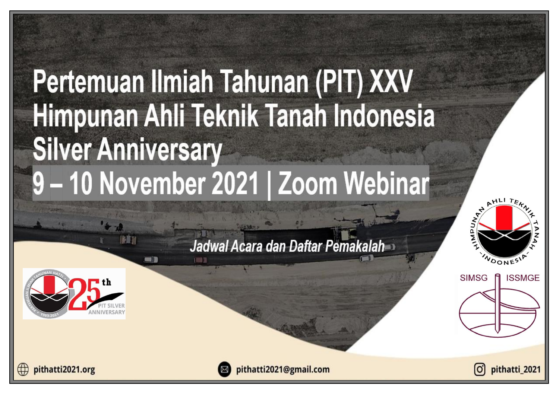# Pertemuan Ilmiah Tahunan (PIT) XXV Himpunan Ahli Teknik Tanah Indonesia **Silver Anniversary** 9-10 November 2021 | Zoom Webinar

# Jadwal Acara dan Daftar Pemakalah



麻麻利

WDONES' **SIMSG ISSMGE** 

AHLITEL

pithatti2021.org

pithatti2021@gmail.com

pithatti 2021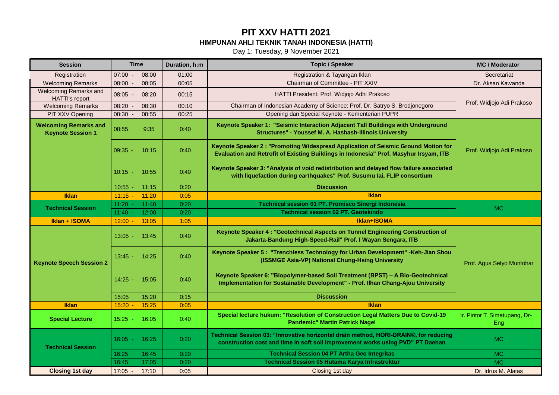Day 1: Tuesday, 9 November 2021

| <b>Session</b>                                           | <b>Time</b>              | Duration, h:m | <b>Topic / Speaker</b>                                                                                                                                                      | <b>MC / Moderator</b>                |
|----------------------------------------------------------|--------------------------|---------------|-----------------------------------------------------------------------------------------------------------------------------------------------------------------------------|--------------------------------------|
| Registration                                             | 07:00<br>08:00<br>$\sim$ | 01:00         | Registration & Tayangan Iklan                                                                                                                                               | Secretariat                          |
| <b>Welcoming Remarks</b>                                 | 08:00<br>08:05<br>$\sim$ | 00:05         | Chairman of Committee - PIT XXIV                                                                                                                                            | Dr. Aksan Kawanda                    |
| <b>Welcoming Remarks and</b><br><b>HATTI's report</b>    | $08:05 -$<br>08:20       | 00:15         | HATTI President: Prof. Widjojo Adhi Prakoso                                                                                                                                 |                                      |
| <b>Welcoming Remarks</b>                                 | 08:20<br>08:30           | 00:10         | Chairman of Indonesian Academy of Science: Prof. Dr. Satryo S. Brodjonegoro                                                                                                 | Prof. Widjojo Adi Prakoso            |
| PIT XXV Opening                                          | 08:30<br>08:55           | 00:25         | Opening dan Special Keynote - Kementerian PUPR                                                                                                                              |                                      |
| <b>Welcoming Remarks and</b><br><b>Keynote Session 1</b> | 08:55<br>9:35            | 0:40          | Keynote Speaker 1: "Seismic Interaction Adjacent Tall Buildings with Underground<br>Structures" - Youssef M. A. Hashash-Illinois University                                 |                                      |
|                                                          | $09:35 -$<br>10:15       | 0:40          | Keynote Speaker 2 : "Promoting Widespread Application of Seismic Ground Motion for<br>Evaluation and Retrofit of Existing Buildings in Indonesia" Prof. Masyhur Irsyam, ITB | Prof. Widjojo Adi Prakoso            |
|                                                          | $10:15 -$<br>10:55       | 0:40          | Keynote Speaker 3: "Analysis of void redistribution and delayed flow failure associated<br>with liquefaction during earthquakes" Prof. Susumu lai, FLIP consortium          |                                      |
|                                                          | 10:55<br>11:15           | 0:20          | <b>Discussion</b>                                                                                                                                                           |                                      |
| <b>Iklan</b>                                             | 11:15<br>11:20           | 0:05          | <b>Iklan</b>                                                                                                                                                                |                                      |
| <b>Technical Session</b>                                 | 11:20<br>11:40           | 0:20          | Technical session 01 PT. Promisco Sinergi Indonesia                                                                                                                         | <b>MC</b>                            |
|                                                          | 11:40<br>12:00           | 0:20          | <b>Technical session 02 PT. Geotekindo</b>                                                                                                                                  |                                      |
| Iklan + ISOMA                                            | $12:00$ $-$<br>13:05     | 1:05          | Iklan+ISOMA                                                                                                                                                                 |                                      |
|                                                          | $13:05 -$<br>13:45       | 0:40          | Keynote Speaker 4 : "Geotechnical Aspects on Tunnel Engineering Construction of<br>Jakarta-Bandung High-Speed-Rail" Prof. I Wayan Sengara, ITB                              |                                      |
| <b>Keynote Speech Session 2</b>                          | $13:45 -$<br>14:25       | 0:40          | Keynote Speaker 5: "Trenchless Technology for Urban Development" - Keh-Jian Shou<br>(ISSMGE Asia-VP) National Chung-Hsing University                                        | Prof. Agus Setyo Muntohar            |
|                                                          | $14:25 -$<br>15:05       | 0:40          | Keynote Speaker 6: "Biopolymer-based Soil Treatment (BPST) - A Bio-Geotechnical<br>Implementation for Sustainable Development" - Prof. Ilhan Chang-Ajou University          |                                      |
|                                                          | 15:05<br>15:20           | 0:15          | <b>Discussion</b>                                                                                                                                                           |                                      |
| <b>Iklan</b>                                             | 15:25<br>15:20           | 0:05          | <b>Iklan</b>                                                                                                                                                                |                                      |
| <b>Special Lecture</b>                                   | $15:25 -$<br>16:05       | 0:40          | Special lecture hukum: "Resolution of Construction Legal Matters Due to Covid-19<br><b>Pandemic" Martin Patrick Nagel</b>                                                   | Ir. Pintor T. Simatupang, Dr-<br>Eng |
| <b>Technical Session</b>                                 | $16:05 -$<br>16:25       | 0:20          | Technical Session 03: "Innovative horizontal drain method, HORI-DRAIN®, for reducing<br>construction cost and time in soft soil improvement works using PVD" PT Daehan      | <b>MC</b>                            |
|                                                          | 16:25<br>16:45           | 0:20          | <b>Technical Session 04 PT Artha Geo Integritas</b>                                                                                                                         | <b>MC</b>                            |
|                                                          | 16:45<br>17:05           | 0:20          | <b>Technical Session 05 Hutama Karya Infrastruktur</b>                                                                                                                      | <b>MC</b>                            |
| <b>Closing 1st day</b>                                   | 17:05<br>17:10           | 0:05          | Closing 1st day                                                                                                                                                             | Dr. Idrus M. Alatas                  |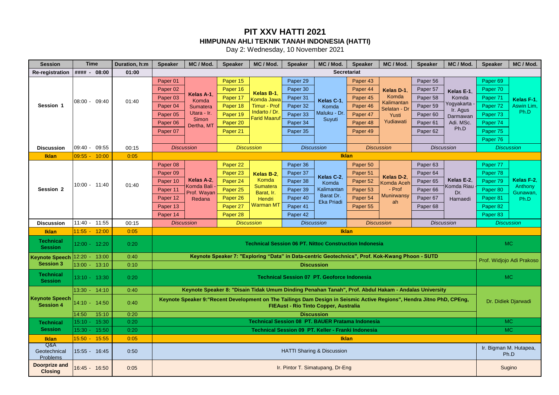Day 2: Wednesday, 10 November 2021

| <b>Session</b>                            | <b>Time</b>     |       | Duration, h:m | <b>Speaker</b>      | MC / Mod.                | <b>Speaker</b>    | MC / Mod.                                                     | <b>Speaker</b> | MC / Mod.                                          | <b>Speaker</b>     | MC / Mod.                                                                                                              | <b>Speaker</b>      | MC / Mod.                | <b>Speaker</b>         | MC / Mod.                 |
|-------------------------------------------|-----------------|-------|---------------|---------------------|--------------------------|-------------------|---------------------------------------------------------------|----------------|----------------------------------------------------|--------------------|------------------------------------------------------------------------------------------------------------------------|---------------------|--------------------------|------------------------|---------------------------|
| <b>Re-registration</b>                    | #### - 08:00    |       | 01:00         |                     |                          |                   |                                                               |                |                                                    | <b>Secretariat</b> |                                                                                                                        |                     |                          |                        |                           |
|                                           |                 |       |               | Paper 01            |                          | Paper 15          |                                                               | Paper 29       |                                                    | Paper 43           |                                                                                                                        | Paper 56            |                          | Paper <sub>69</sub>    |                           |
|                                           |                 |       |               | Paper <sub>02</sub> |                          | Paper 16          | Kelas B-1.                                                    | Paper 30       |                                                    | Paper 44           | Kelas D-1                                                                                                              | Paper 57            | Kelas E-1.               | Paper 70               |                           |
|                                           | 08:00 - 09:40   |       | 01:40         | Paper <sub>03</sub> | Kelas A-1.<br>Komda      | Paper 17          | Komda Jawa                                                    | Paper 31       | Kelas C-1                                          | Paper 45           | Komda                                                                                                                  | Paper 58            | Komda                    | Paper 71               | Kelas F-1.                |
| Session 1                                 |                 |       |               | Paper <sub>04</sub> | Sumatera                 | Paper 18          | Timur - Prof                                                  | Paper 32       | Komda                                              | Paper 46           | Kalimantan<br>Selatan - Dr                                                                                             | Paper 59            | Yogyakarta<br>Ir. Agus   | Paper <sub>72</sub>    | Aswin Lim.                |
|                                           |                 |       |               | Paper <sub>05</sub> | Utara - Ir.              | Paper 19          | Indarto / Dr.<br><b>Farid Maaruf</b>                          | Paper 33       | Maluku - Dr                                        | Paper 47           | Yusti                                                                                                                  | Paper 60            | Darmawan                 | Paper 73               | Ph.D                      |
|                                           |                 |       |               | Paper <sub>06</sub> | Simon<br>Dertha, MT      | Paper 20          |                                                               | Paper 34       | Suyuti                                             | Paper 48           | Yudiawati                                                                                                              | Paper <sub>61</sub> | Adi. MSc.                | Paper 74               |                           |
|                                           |                 |       |               | Paper 07            |                          | Paper 21          |                                                               | Paper 35       |                                                    | Paper 49           |                                                                                                                        | Paper 62            | Ph.D                     | Paper 75               |                           |
|                                           |                 |       |               |                     |                          |                   |                                                               |                |                                                    |                    |                                                                                                                        |                     |                          | Paper 76               |                           |
| <b>Discussion</b>                         | 09:40 - 09:55   |       | 00:15         |                     | <b>Discussion</b>        |                   | <b>Discussion</b>                                             |                | <b>Discussion</b>                                  |                    | <b>Discussion</b>                                                                                                      |                     | <b>Discussion</b>        |                        | <b>Discussion</b>         |
| <b>Iklan</b>                              | $09:55 - 10:00$ |       | 0:05          |                     |                          |                   |                                                               |                |                                                    | <b>Iklan</b>       |                                                                                                                        |                     |                          |                        |                           |
|                                           |                 |       |               | Paper <sub>08</sub> |                          | Paper 22          |                                                               | Paper 36       |                                                    | Paper 50           |                                                                                                                        | Paper 63            |                          | Paper 77               |                           |
|                                           |                 |       |               | Paper 09            |                          | Paper 23          | Kelas B-2.                                                    | Paper 37       | Kelas C-2.                                         | Paper 51           | Kelas D-2.                                                                                                             | Paper 64            |                          | Paper 78               |                           |
|                                           | 10:00 - 11:40   |       | 01:40         | Paper 10            | Kelas A-2.<br>Komda Bali | Paper 24          | Komda<br><b>Sumatera</b>                                      | Paper 38       | Komda                                              | Paper 52           | <b>Komda Acer</b>                                                                                                      | Paper 65            | Kelas E-2.<br>Komda Riau | Paper 79               | Kelas F-2.<br>Anthony     |
| Session 2                                 |                 |       |               | Paper 11            | Prof. Wayan              | Paper 25          | Barat, Ir.                                                    | Paper 39       | Kalimantan                                         | Paper 53           | - Prof                                                                                                                 | Paper 66            | Dr.                      | Paper 80               | Gunawan,                  |
|                                           |                 |       |               | Paper 12            | Redana                   | Paper 26          | Hendri                                                        | Paper 40       | Barat Dr.<br><b>Eka Priadi</b>                     | Paper 54           | <b>Munirwansy</b><br>ah                                                                                                | Paper 67            | Harnaedi                 | Paper 81               | Ph.D                      |
|                                           |                 |       |               | Paper 13            |                          | Paper 27          | Warman MT                                                     | Paper 41       |                                                    | Paper 55           |                                                                                                                        | Paper <sub>68</sub> |                          | Paper 82               |                           |
|                                           |                 |       |               | Paper 14            |                          | Paper 28          |                                                               | Paper 42       |                                                    |                    |                                                                                                                        |                     |                          | Paper 83               |                           |
| <b>Discussion</b>                         | 11:40 - 11:55   |       | 00:15         |                     | <b>Discussion</b>        | <b>Discussion</b> |                                                               |                | <b>Discussion</b>                                  |                    | <b>Discussion</b>                                                                                                      |                     | <b>Discussion</b>        |                        | <b>Discussion</b>         |
| Iklan                                     | 11:55 - 12:00   |       | 0:05          |                     |                          |                   |                                                               |                |                                                    | <b>Iklan</b>       |                                                                                                                        |                     |                          |                        |                           |
| <b>Technical</b><br><b>Session</b>        | 12:00 - 12:20   |       | 0:20          |                     |                          |                   | <b>Technical Session 06 PT. Nittoc Construction Indonesia</b> |                |                                                    |                    |                                                                                                                        |                     |                          |                        | <b>MC</b>                 |
| <b>Keynote Speech</b>                     | $12:20 -$       | 13:00 | 0:40          |                     |                          |                   |                                                               |                |                                                    |                    | Keynote Speaker 7: "Exploring "Data" in Data-centric Geotechnics", Prof. Kok-Kwang Phoon - SUTD                        |                     |                          |                        | Prof. Widjojo Adi Prakoso |
| <b>Session 3</b>                          | 13:00 - 13:10   |       | 0:10          |                     |                          |                   |                                                               |                | <b>Discussion</b>                                  |                    |                                                                                                                        |                     |                          |                        |                           |
| <b>Technical</b><br><b>Session</b>        | 13:10 - 13:30   |       | 0:20          |                     |                          |                   |                                                               |                | <b>Technical Session 07 PT. Geoforce Indonesia</b> |                    |                                                                                                                        |                     |                          |                        | <b>MC</b>                 |
|                                           | 13:30 - 14:10   |       | 0:40          |                     |                          |                   |                                                               |                |                                                    |                    | Keynote Speaker 8: "Disain Tidak Umum Dinding Penahan Tanah", Prof. Abdul Hakam - Andalas University                   |                     |                          |                        |                           |
| <b>Keynote Speech</b><br><b>Session 4</b> | 14:10 - 14:50   |       | 0:40          |                     |                          |                   |                                                               |                | FIEAust - Rio Tinto Copper, Australia              |                    | Keynote Speaker 9: "Recent Development on The Tailings Dam Design in Seismic Active Regions", Hendra Jitno PhD, CPEng, |                     |                          |                        | Dr. Didiek Djarwadi       |
|                                           | 14:50           | 15:10 | 0:20          |                     |                          |                   |                                                               |                | <b>Discussion</b>                                  |                    |                                                                                                                        |                     |                          |                        |                           |
| <b>Technical</b>                          | $15:10 -$       | 15:30 | 0:20          |                     |                          |                   | Technical Session 08 PT. BAUER Pratama Indonesia              |                |                                                    |                    |                                                                                                                        |                     |                          |                        | MC.                       |
| <b>Session</b>                            | 15:30           | 15:50 | 0:20          |                     |                          |                   |                                                               |                | Technical Session 09 PT. Keller - Franki Indonesia |                    |                                                                                                                        |                     |                          |                        | MC                        |
| <b>Iklan</b><br>Q&A                       | $15:50 -$       | 15:55 | 0:05          |                     |                          |                   |                                                               |                |                                                    | <b>Iklan</b>       |                                                                                                                        |                     |                          |                        |                           |
| Geotechnical<br>Problems                  | 15:55 - 16:45   |       | 0:50          |                     |                          |                   |                                                               |                | <b>HATTI Sharing &amp; Discussion</b>              |                    |                                                                                                                        |                     |                          | Ir. Bigman M. Hutapea, | Ph.D                      |
| <b>Doorprize and</b><br><b>Closing</b>    | 16:45 - 16:50   |       | 0:05          |                     |                          |                   |                                                               |                | Ir. Pintor T. Simatupang, Dr-Eng                   |                    |                                                                                                                        |                     |                          |                        | Sugino                    |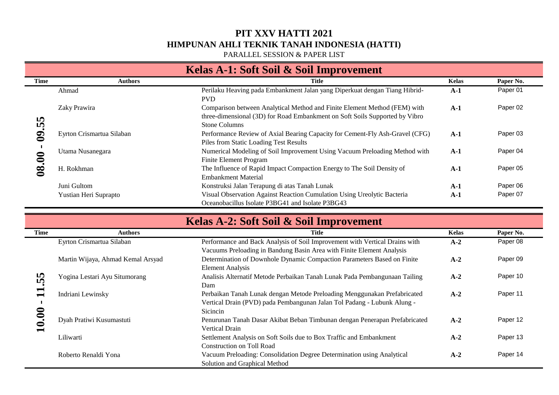PARALLEL SESSION & PAPER LIST

| Kelas A-1: Soft Soil & Soil Improvement |                           |                                                                                                                                                                                  |              |           |  |  |  |  |
|-----------------------------------------|---------------------------|----------------------------------------------------------------------------------------------------------------------------------------------------------------------------------|--------------|-----------|--|--|--|--|
| Time                                    | <b>Authors</b>            | Title                                                                                                                                                                            | <b>Kelas</b> | Paper No. |  |  |  |  |
| m<br>LÃ,<br>$\mathbf{S}$                | Ahmad                     | Perilaku Heaving pada Embankment Jalan yang Diperkuat dengan Tiang Hibrid-<br>PVD.                                                                                               | $A-1$        | Paper 01  |  |  |  |  |
|                                         | Zaky Prawira              | Comparison between Analytical Method and Finite Element Method (FEM) with<br>three-dimensional (3D) for Road Embankment on Soft Soils Supported by Vibro<br><b>Stone Columns</b> | $A-1$        | Paper 02  |  |  |  |  |
|                                         | Eyrton Crismartua Silaban | Performance Review of Axial Bearing Capacity for Cement-Fly Ash-Gravel (CFG)<br>Piles from Static Loading Test Results                                                           | $A-1$        | Paper 03  |  |  |  |  |
| 0                                       | Utama Nusanegara          | Numerical Modeling of Soil Improvement Using Vacuum Preloading Method with<br>Finite Element Program                                                                             | $A-1$        | Paper 04  |  |  |  |  |
| $\infty$                                | H. Rokhman                | The Influence of Rapid Impact Compaction Energy to The Soil Density of<br><b>Embankment Material</b>                                                                             | $A-1$        | Paper 05  |  |  |  |  |
|                                         | Juni Gultom               | Konstruksi Jalan Terapung di atas Tanah Lunak                                                                                                                                    | $A-1$        | Paper 06  |  |  |  |  |
|                                         | Yustian Heri Suprapto     | Visual Observation Against Reaction Cumulation Using Ureolytic Bacteria<br>Oceanobacillus Isolate P3BG41 and Isolate P3BG43                                                      | $A-1$        | Paper 07  |  |  |  |  |

|                    | Kelas A-2: Soft Soil & Soil Improvement |                                                                                                                                                                 |              |           |  |  |  |  |  |
|--------------------|-----------------------------------------|-----------------------------------------------------------------------------------------------------------------------------------------------------------------|--------------|-----------|--|--|--|--|--|
| Time               | <b>Authors</b>                          | <b>Title</b>                                                                                                                                                    | <b>Kelas</b> | Paper No. |  |  |  |  |  |
| 55<br>$\mathbf{1}$ | Eyrton Crismartua Silaban               | Performance and Back Analysis of Soil Improvement with Vertical Drains with<br>Vacuums Preloading in Bandung Basin Area with Finite Element Analysis            | $A-2$        | Paper 08  |  |  |  |  |  |
|                    | Martin Wijaya, Ahmad Kemal Arsyad       | Determination of Downhole Dynamic Compaction Parameters Based on Finite<br><b>Element Analysis</b>                                                              | $A-2$        | Paper 09  |  |  |  |  |  |
|                    | Yogina Lestari Ayu Situmorang           | Analisis Alternatif Metode Perbaikan Tanah Lunak Pada Pembangunaan Tailing<br>Dam                                                                               | $A-2$        | Paper 10  |  |  |  |  |  |
|                    | Indriani Lewinsky                       | Perbaikan Tanah Lunak dengan Metode Preloading Menggunakan Prefabricated<br>Vertical Drain (PVD) pada Pembangunan Jalan Tol Padang - Lubunk Alung -<br>Sicincin | $A-2$        | Paper 11  |  |  |  |  |  |
| $\mathbf{10}$      | Dyah Pratiwi Kusumastuti                | Penurunan Tanah Dasar Akibat Beban Timbunan dengan Penerapan Prefabricated<br><b>Vertical Drain</b>                                                             | $A-2$        | Paper 12  |  |  |  |  |  |
|                    | Liliwarti                               | Settlement Analysis on Soft Soils due to Box Traffic and Embankment<br><b>Construction on Toll Road</b>                                                         | $A-2$        | Paper 13  |  |  |  |  |  |
|                    | Roberto Renaldi Yona                    | Vacuum Preloading: Consolidation Degree Determination using Analytical<br>Solution and Graphical Method                                                         | $A-2$        | Paper 14  |  |  |  |  |  |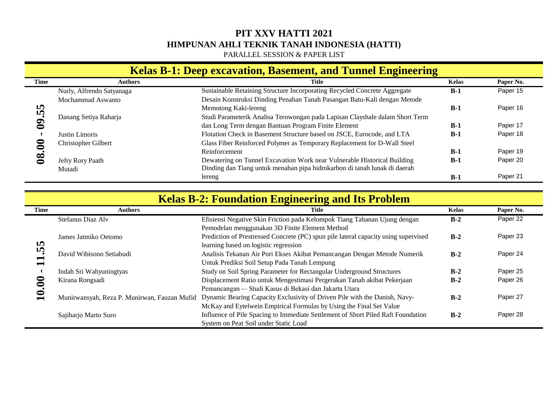PARALLEL SESSION & PAPER LIST

#### **Kelas B-1: Deep excavation, Basement, and Tunnel Engineering**

| Time                | <b>Authors</b>            | <b>Title</b>                                                                 | <b>Kelas</b> | Paper No. |
|---------------------|---------------------------|------------------------------------------------------------------------------|--------------|-----------|
| IQ.<br>LÖ,          | Nurly, Alfrendo Satyanaga | Sustainable Retaining Structure Incorporating Recycled Concrete Aggregate    | $B-1$        | Paper 15  |
|                     | Mochammad Aswanto         | Desain Konstruksi Dinding Penahan Tanah Pasangan Batu-Kali dengan Metode     |              |           |
|                     |                           | Memotong Kaki-lereng                                                         | $B-1$        | Paper 16  |
|                     | Danang Setiya Raharja     | Studi Parameterik Analisa Terowongan pada Lapisan Clayshale dalam Short Term |              |           |
|                     |                           | dan Long Term dengan Bantuan Program Finite Element                          | $B-1$        | Paper 17  |
|                     | Justin Limoris            | Flotation Check in Basement Structure based on JSCE, Eurocode, and LTA       | $B-1$        | Paper 18  |
|                     | Christopher Gilbert       | Glass Fiber Reinforced Polymer as Temporary Replacement for D-Wall Steel     |              |           |
|                     |                           | Reinforcement                                                                | $B-1$        | Paper 19  |
| $\overline{\infty}$ | Jefry Rory Paath          | Dewatering on Tunnel Excavation Work near Vulnerable Historical Building     | $B-1$        | Paper 20  |
|                     | Mutadi                    | Dinding dan Tiang untuk menahan pipa hidrokarbon di tanah lunak di daerah    |              |           |
|                     |                           | lereng                                                                       | $B-1$        | Paper 21  |

| 09.55       |                                              | Memotong Kaki-lereng                                                                | $B-1$        | Paper 16  |
|-------------|----------------------------------------------|-------------------------------------------------------------------------------------|--------------|-----------|
|             | Danang Setiya Raharja                        | Studi Parameterik Analisa Terowongan pada Lapisan Clayshale dalam Short Term        |              |           |
|             |                                              | dan Long Term dengan Bantuan Program Finite Element                                 | $B-1$        | Paper 17  |
|             | Justin Limoris                               | Flotation Check in Basement Structure based on JSCE, Eurocode, and LTA              | $B-1$        | Paper 18  |
|             | Christopher Gilbert                          | Glass Fiber Reinforced Polymer as Temporary Replacement for D-Wall Steel            |              |           |
|             |                                              | Reinforcement                                                                       | $B-1$        | Paper 19  |
| 08.00       | Jefry Rory Paath                             | Dewatering on Tunnel Excavation Work near Vulnerable Historical Building            | $B-1$        | Paper 20  |
|             | Mutadi                                       | Dinding dan Tiang untuk menahan pipa hidrokarbon di tanah lunak di daerah           |              |           |
|             |                                              | lereng                                                                              | $B-1$        | Paper 21  |
|             |                                              |                                                                                     |              |           |
|             |                                              | <b>Kelas B-2: Foundation Engineering and Its Problem</b>                            |              |           |
| <b>Time</b> | <b>Authors</b>                               | <b>Title</b>                                                                        | <b>Kelas</b> | Paper No. |
|             | Stefanus Diaz Alv                            | Efisiensi Negative Skin Friction pada Kelompok Tiang Tahanan Ujung dengan           | $B-2$        | Paper 22  |
|             |                                              | Pemodelan menggunakan 3D Finite Element Method                                      |              |           |
|             | James Jatmiko Oetomo                         | Prediction of Prestressed Concrete (PC) spun pile lateral capacity using supervised | $B-2$        | Paper 23  |
|             |                                              | learning based on logistic regression                                               |              |           |
|             | David Wibisono Setiabudi                     | Analisis Tekanan Air Pori Ekses Akibat Pemancangan Dengan Metode Numerik            | $B-2$        | Paper 24  |
| 11.55       |                                              | Untuk Prediksi Soil Setup Pada Tanah Lempung                                        |              |           |
|             | Indah Sri Wahyuningtyas                      | Study on Soil Spring Parameter for Rectangular Underground Structures               | $B-2$        | Paper 25  |
|             | Kirana Rongsadi                              | Displacement Ratio untuk Mengestimasi Pergerakan Tanah akibat Pekerjaan             | $B-2$        | Paper 26  |
|             |                                              | Pemancangan -- Studi Kasus di Bekasi dan Jakarta Utara                              |              |           |
| 10.00       | Munirwansyah, Reza P. Munirwan, Fauzan Mufid | Dynamic Bearing Capacity Exclusivity of Driven Pile with the Danish, Navy-          | $B-2$        | Paper 27  |
|             |                                              | McKay and Eytelwein Empirical Formulas by Using the Final Set Value                 |              |           |
|             | Sajiharjo Marto Suro                         | Influence of Pile Spacing to Immediate Settlement of Short Piled Raft Foundation    | $B-2$        | Paper 28  |
|             |                                              | System on Peat Soil under Static Load                                               |              |           |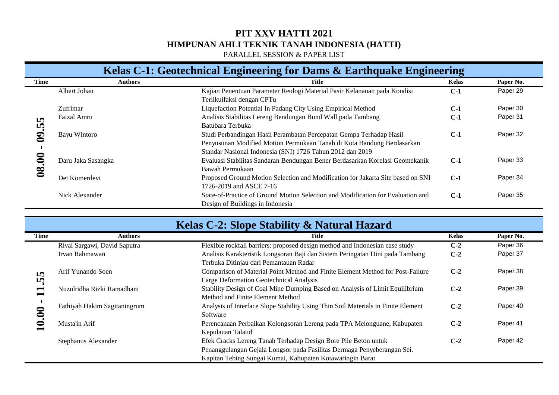PARALLEL SESSION & PAPER LIST

#### Kelas C-1: Geotechnical Engineering for Dams & Earthquake Engineering

|              |                    | $\bullet$<br>o<br>$\bullet$                                                      | $\mathbf C$  |           |
|--------------|--------------------|----------------------------------------------------------------------------------|--------------|-----------|
| Time         | <b>Authors</b>     | Title                                                                            | <b>Kelas</b> | Paper No. |
|              | Albert Johan       | Kajian Penentuan Parameter Reologi Material Pasir Kelanauan pada Kondisi         | $C-1$        | Paper 29  |
|              |                    | Terlikuifaksi dengan CPTu                                                        |              |           |
|              | Zufrimar           | Liquefaction Potential In Padang City Using Empirical Method                     | $C-1$        | Paper 30  |
| <b>In</b>    | Faizal Amru        | Analisis Stabilitas Lereng Bendungan Bund Wall pada Tambang                      | $C-1$        | Paper 31  |
| LÃ,          |                    | Batubara Terbuka                                                                 |              |           |
| $\mathbf{S}$ | Bayu Wintoro       | Studi Perbandingan Hasil Perambatan Percepatan Gempa Terhadap Hasil              | $C-1$        | Paper 32  |
|              |                    | Penyusunan Modified Motion Permukaan Tanah di Kota Bandung Berdasarkan           |              |           |
|              |                    | Standar Nasional Indonesia (SNI) 1726 Tahun 2012 dan 2019                        |              |           |
| ═            | Daru Jaka Sasangka | Evaluasi Stabilitas Sandaran Bendungan Bener Berdasarkan Korelasi Geomekanik     | $C-1$        | Paper 33  |
| 08.          |                    | Bawah Permukaan                                                                  |              |           |
|              | Det Komerdevi      | Proposed Ground Motion Selection and Modification for Jakarta Site based on SNI  | $C-1$        | Paper 34  |
|              |                    | 1726-2019 and ASCE 7-16                                                          |              |           |
|              | Nick Alexander     | State-of-Practice of Ground Motion Selection and Modification for Evaluation and | $C-1$        | Paper 35  |
|              |                    | Design of Buildings in Indonesia                                                 |              |           |

| <b>I</b><br>$\boldsymbol{\dot{w}}$ |                              | Triansis Diabinas Ecrenz Dendanzan Dana Wan pada Tambang<br>Batubara Terbuka                                                                                                                               | ◡∸           |           |
|------------------------------------|------------------------------|------------------------------------------------------------------------------------------------------------------------------------------------------------------------------------------------------------|--------------|-----------|
| $\mathbf{S}$<br>$\blacksquare$     | Bayu Wintoro                 | Studi Perbandingan Hasil Perambatan Percepatan Gempa Terhadap Hasil<br>Penyusunan Modified Motion Permukaan Tanah di Kota Bandung Berdasarkan<br>Standar Nasional Indonesia (SNI) 1726 Tahun 2012 dan 2019 | $C-1$        | Paper 32  |
| 08.00                              | Daru Jaka Sasangka           | Evaluasi Stabilitas Sandaran Bendungan Bener Berdasarkan Korelasi Geomekanik<br>Bawah Permukaan                                                                                                            | $C-1$        | Paper 33  |
|                                    | Det Komerdevi                | Proposed Ground Motion Selection and Modification for Jakarta Site based on SNI<br>1726-2019 and ASCE 7-16                                                                                                 | $C-1$        | Paper 34  |
|                                    | Nick Alexander               | State-of-Practice of Ground Motion Selection and Modification for Evaluation and<br>Design of Buildings in Indonesia                                                                                       | $C-1$        | Paper 35  |
|                                    |                              |                                                                                                                                                                                                            |              |           |
|                                    |                              | Kelas C-2: Slope Stability & Natural Hazard                                                                                                                                                                |              |           |
| <b>Time</b>                        | <b>Authors</b>               | <b>Title</b>                                                                                                                                                                                               | <b>Kelas</b> | Paper No. |
|                                    | Rivai Sargawi, David Saputra | Flexible rockfall barriers: proposed design method and Indonesian case study                                                                                                                               | $C-2$        | Paper 36  |
|                                    | Irvan Rahmawan               | Analisis Karakteristik Longsoran Baji dan Sistem Peringatan Dini pada Tambang<br>Terbuka Ditinjau dari Pemantauan Radar                                                                                    | $C-2$        | Paper 37  |
| $\boldsymbol{\mathsf{w}}$<br>r.    | Arif Yunando Soen            | Comparison of Material Point Method and Finite Element Method for Post-Failure<br>Large Deformation Geotechnical Analysis                                                                                  | $C-2$        | Paper 38  |
| $\mathbf{1}$                       | Nuzulridha Rizki Ramadhani   | Stability Design of Coal Mine Dumping Based on Analysis of Limit Equilibrium<br>Method and Finite Element Method                                                                                           | $C-2$        | Paper 39  |
| $\blacksquare$                     | Fathiyah Hakim Sagitaningrum | Analysis of Interface Slope Stability Using Thin Soil Materials in Finite Element<br>Software                                                                                                              | $C-2$        | Paper 40  |
| 10.00                              | Musta'in Arif                | Perencanaan Perbaikan Kelongsoran Lereng pada TPA Melonguane, Kabupaten<br>Kepulauan Talaud                                                                                                                | $C-2$        | Paper 41  |
|                                    | Stephanus Alexander          | Efek Cracks Lereng Tanah Terhadap Design Bore Pile Beton untuk<br>Penanggulangan Gejala Longsor pada Fasilitas Dermaga Penyeberangan Sei.<br>Kapitan Tebing Sungai Kumai, Kabupaten Kotawaringin Barat     | $C-2$        | Paper 42  |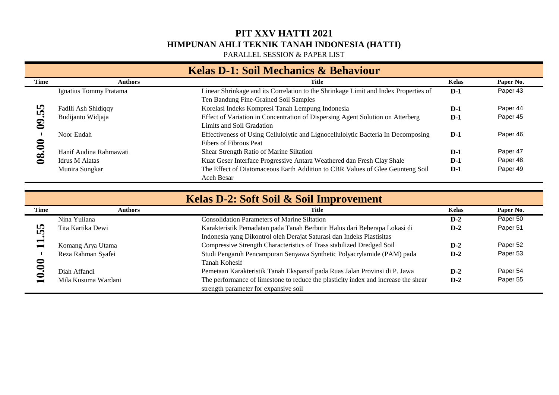PARALLEL SESSION & PAPER LIST

#### **Kelas D-1: Soil Mechanics & Behaviour Time Authors Title Kelas Paper No.** Ignatius Tommy Pratama Linear Shrinkage and its Correlation to the Shrinkage Limit and Index Properties of **D-1** Paper 43 Ten Bandung Fine-Grained Soil Samples  $08.00 - 09.55$ Fadlli Ash Shidiqqy Korelasi Indeks Kompresi Tanah Lempung Indonesia **D-1** Paper 44 Budijanto Widjaja Effect of Variation in Concentration of Dispersing Agent Solution on Atterberg **D-1** Paper 45 Limits and Soil Gradation Noor Endah Effectiveness of Using Cellulolytic and Lignocellulolytic Bacteria In Decomposing **D-1** Paper 46 Fibers of Fibrous Peat Hanif Audina Rahmawati Shear Strength Ratio of Marine Siltation **D-1** Paper 47 Idrus M Alatas **D-1** Paper 48 Munira Sungkar The Effect of Diatomaceous Earth Addition to CBR Values of Glee Geunteng Soil **D-1** Paper 49 Aceh Besar

| <b>I</b><br><b>In</b>                      | Fadlli Ash Shidiqqy    | Korelasi Indeks Kompresi Tanah Lempung Indonesia                                                                                                   | $D-1$        | Paper 44  |
|--------------------------------------------|------------------------|----------------------------------------------------------------------------------------------------------------------------------------------------|--------------|-----------|
| $\boldsymbol{9}$                           | Budijanto Widjaja      | Effect of Variation in Concentration of Dispersing Agent Solution on Atterberg<br>Limits and Soil Gradation                                        | $D-1$        | Paper 45  |
|                                            | Noor Endah             | Effectiveness of Using Cellulolytic and Lignocellulolytic Bacteria In Decomposing<br>Fibers of Fibrous Peat                                        | $D-1$        | Paper 46  |
|                                            | Hanif Audina Rahmawati | Shear Strength Ratio of Marine Siltation                                                                                                           | $D-1$        | Paper 47  |
| 08.00                                      | <b>Idrus M Alatas</b>  | Kuat Geser Interface Progressive Antara Weathered dan Fresh Clay Shale                                                                             | $D-1$        | Paper 48  |
|                                            | Munira Sungkar         | The Effect of Diatomaceous Earth Addition to CBR Values of Glee Geunteng Soil<br>Aceh Besar                                                        | $D-1$        | Paper 49  |
|                                            |                        |                                                                                                                                                    |              |           |
|                                            |                        | Kelas D-2: Soft Soil & Soil Improvement                                                                                                            |              |           |
| Time                                       | <b>Authors</b>         | Title                                                                                                                                              | <b>Kelas</b> | Paper No. |
|                                            |                        |                                                                                                                                                    |              |           |
|                                            | Nina Yuliana           | <b>Consolidation Parameters of Marine Siltation</b>                                                                                                | $D-2$        | Paper 50  |
| <b>ID</b><br><b>In</b>                     | Tita Kartika Dewi      | Karakteristik Pemadatan pada Tanah Berbutir Halus dari Beberapa Lokasi di<br>Indonesia yang Dikontrol oleh Derajat Saturasi dan Indeks Plastisitas | $D-2$        | Paper 51  |
| $\blacksquare$<br>$\overline{\phantom{0}}$ | Komang Arya Utama      | Compressive Strength Characteristics of Trass stabilized Dredged Soil                                                                              | $D-2$        | Paper 52  |
|                                            | Reza Rahman Syafei     | Studi Pengaruh Pencampuran Senyawa Synthetic Polyacrylamide (PAM) pada<br><b>Tanah Kohesif</b>                                                     | $D-2$        | Paper 53  |
| 10.00                                      | Diah Affandi           | Pemetaan Karakteristik Tanah Ekspansif pada Ruas Jalan Provinsi di P. Jawa                                                                         | $D-2$        | Paper 54  |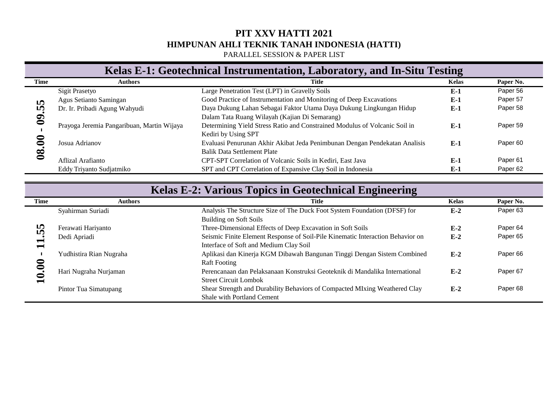PARALLEL SESSION & PAPER LIST

#### Kelas E-1: Geotechnical Instrumentation, Laboratory, and In-Situ Testing

| Time      | Authors                                    | Title                                                                      | <b>Kelas</b> | Paper No.           |
|-----------|--------------------------------------------|----------------------------------------------------------------------------|--------------|---------------------|
| <b>ID</b> | Sigit Prasetyo                             | Large Penetration Test (LPT) in Gravelly Soils                             | $E-1$        | Paper 56            |
|           | Agus Setianto Samingan                     | Good Practice of Instrumentation and Monitoring of Deep Excavations        | $E-1$        | Paper 57            |
| LO.       | Dr. Ir. Pribadi Agung Wahyudi              | Daya Dukung Lahan Sebagai Faktor Utama Daya Dukung Lingkungan Hidup        | $E-1$        | Paper 58            |
|           |                                            | Dalam Tata Ruang Wilayah (Kajian Di Semarang)                              |              |                     |
|           | Prayoga Jeremia Pangaribuan, Martin Wijaya | Determining Yield Stress Ratio and Constrained Modulus of Volcanic Soil in | $E-1$        | Paper 59            |
|           |                                            | Kediri by Using SPT                                                        |              |                     |
|           | Josua Adrianov                             | Evaluasi Penurunan Akhir Akibat Jeda Penimbunan Dengan Pendekatan Analisis | $E-1$        | Paper <sub>60</sub> |
| $\bf{8}$  |                                            | <b>Balik Data Settlement Plate</b>                                         |              |                     |
|           | Aflizal Arafianto                          | CPT-SPT Correlation of Volcanic Soils in Kediri, East Java                 | $E-1$        | Paper <sub>61</sub> |
|           | Eddy Triyanto Sudjatmiko                   | SPT and CPT Correlation of Expansive Clay Soil in Indonesia                | $E-1$        | Paper 62            |

| <b>IO</b>                | $T_{\rm A}$ us Douanto Danmigan            | $\sim$ 0.000 T ractice of thisu amendman and momenting of Deep Executations                                              | 13-T         | . apo. o. |
|--------------------------|--------------------------------------------|--------------------------------------------------------------------------------------------------------------------------|--------------|-----------|
| r.<br>$\boldsymbol{8}$   | Dr. Ir. Pribadi Agung Wahyudi              | Daya Dukung Lahan Sebagai Faktor Utama Daya Dukung Lingkungan Hidup<br>Dalam Tata Ruang Wilayah (Kajian Di Semarang)     | $E-1$        | Paper 58  |
|                          | Prayoga Jeremia Pangaribuan, Martin Wijaya | Determining Yield Stress Ratio and Constrained Modulus of Volcanic Soil in<br>Kediri by Using SPT                        | $E-1$        | Paper 59  |
| 08.00                    | Josua Adrianov                             | Evaluasi Penurunan Akhir Akibat Jeda Penimbunan Dengan Pendekatan Analisis<br><b>Balik Data Settlement Plate</b>         | $E-1$        | Paper 60  |
|                          | Aflizal Arafianto                          | CPT-SPT Correlation of Volcanic Soils in Kediri, East Java                                                               | $E-1$        | Paper 61  |
|                          | Eddy Triyanto Sudjatmiko                   | SPT and CPT Correlation of Expansive Clay Soil in Indonesia                                                              | $E-1$        | Paper 62  |
|                          |                                            |                                                                                                                          |              |           |
|                          |                                            | Kelas E-2: Various Topics in Geotechnical Engineering                                                                    |              |           |
| Time                     | <b>Authors</b>                             | Title                                                                                                                    | <b>Kelas</b> | Paper No. |
|                          | Syahirman Suriadi                          | Analysis The Structure Size of The Duck Foot System Foundation (DFSF) for                                                | $E-2$        | Paper 63  |
|                          |                                            | <b>Building on Soft Soils</b>                                                                                            |              |           |
| m<br>Ln                  | Ferawati Hariyanto                         | Three-Dimensional Effects of Deep Excavation in Soft Soils                                                               | $E-2$        | Paper 64  |
| $\overline{\phantom{0}}$ | Dedi Apriadi                               | Seismic Finite Element Response of Soil-Pile Kinematic Interaction Behavior on<br>Interface of Soft and Medium Clay Soil | $E-2$        | Paper 65  |
|                          | Yudhistira Rian Nugraha                    | Aplikasi dan Kinerja KGM Dibawah Bangunan Tinggi Dengan Sistem Combined<br><b>Raft Footing</b>                           | $E-2$        | Paper 66  |
| 10.00                    | Hari Nugraha Nurjaman                      | Perencanaan dan Pelaksanaan Konstruksi Geoteknik di Mandalika International<br><b>Street Circuit Lombok</b>              | $E-2$        | Paper 67  |
|                          | Pintor Tua Simatupang                      | Shear Strength and Durability Behaviors of Compacted MIxing Weathered Clay<br><b>Shale with Portland Cement</b>          | $E-2$        | Paper 68  |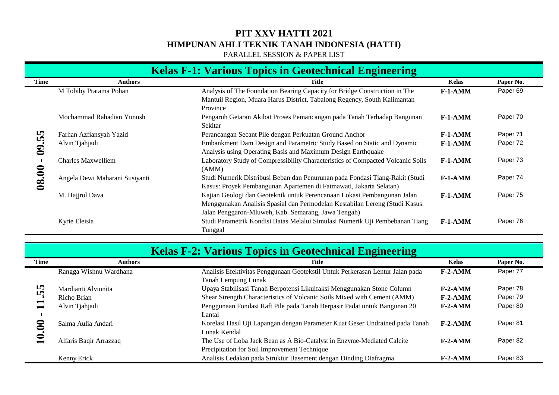PARALLEL SESSION & PAPER LIST

|             | <b>Kelas F-1: Various Topics in Geotechnical Engineering</b> |                                                                                                                                                                                                               |              |           |  |  |  |  |
|-------------|--------------------------------------------------------------|---------------------------------------------------------------------------------------------------------------------------------------------------------------------------------------------------------------|--------------|-----------|--|--|--|--|
| <b>Time</b> | <b>Authors</b>                                               | <b>Title</b>                                                                                                                                                                                                  | <b>Kelas</b> | Paper No. |  |  |  |  |
|             | M Tobiby Pratama Pohan                                       | Analysis of The Foundation Bearing Capacity for Bridge Construction in The<br>Mantuil Region, Muara Harus District, Tabalong Regency, South Kalimantan<br>Province                                            | $F-1-AMM$    | Paper 69  |  |  |  |  |
|             | Mochammad Rahadian Yunush                                    | Pengaruh Getaran Akibat Proses Pemancangan pada Tanah Terhadap Bangunan<br>Sekitar                                                                                                                            | $F-1-AMM$    | Paper 70  |  |  |  |  |
|             | Farhan Azfiansyah Yazid                                      | Perancangan Secant Pile dengan Perkuatan Ground Anchor                                                                                                                                                        | $F-1-AMM$    | Paper 71  |  |  |  |  |
| 09.55       | Alvin Tjahjadi                                               | Embankment Dam Design and Parametric Study Based on Static and Dynamic<br>Analysis using Operating Basis and Maximum Design Earthquake                                                                        | $F-1-AMM$    | Paper 72  |  |  |  |  |
|             | <b>Charles Maxwelliem</b>                                    | Laboratory Study of Compressibility Characteristics of Compacted Volcanic Soils<br>(AMM)                                                                                                                      | $F-1-AMM$    | Paper 73  |  |  |  |  |
| $08.00 -$   | Angela Dewi Maharani Susiyanti                               | Studi Numerik Distribusi Beban dan Penurunan pada Fondasi Tiang-Rakit (Studi<br>Kasus: Proyek Pembangunan Apartemen di Fatmawati, Jakarta Selatan)                                                            | $F-1-AMM$    | Paper 74  |  |  |  |  |
|             | M. Hajjrol Dava                                              | Kajian Geologi dan Geoteknik untuk Perencanaan Lokasi Pembangunan Jalan<br>Menggunakan Analisis Spasial dan Permodelan Kestabilan Lereng (Studi Kasus:<br>Jalan Penggaron-Mluweh, Kab. Semarang, Jawa Tengah) | $F-1-AMM$    | Paper 75  |  |  |  |  |
|             | Kyrie Eleisia                                                | Studi Parametrik Kondisi Batas Melalui Simulasi Numerik Uji Pembebanan Tiang<br>Tunggal                                                                                                                       | $F-1-AMM$    | Paper 76  |  |  |  |  |
|             |                                                              | <b>Kelas F-2: Various Topics in Geotechnical Engineering</b>                                                                                                                                                  |              |           |  |  |  |  |
| <b>Time</b> | <b>Authors</b>                                               | <b>Title</b>                                                                                                                                                                                                  | <b>Kelas</b> | Paper No. |  |  |  |  |
|             | Rangga Wishnu Wardhana                                       | Analisis Efektivitas Penggunaan Geotekstil Untuk Perkerasan Lentur Jalan pada<br>Tanah Lempung Lunak                                                                                                          | $F-2-AMM$    | Paper 77  |  |  |  |  |
|             | Mardianti Alvionita                                          | Upaya Stabilisasi Tanah Berpotensi Likuifaksi Menggunakan Stone Column                                                                                                                                        | $F-2-AMM$    | Paper 78  |  |  |  |  |
|             | Richo Brian                                                  | Shear Strength Characteristics of Volcanic Soils Mixed with Cement (AMM)                                                                                                                                      | $F-2-AMM$    | Paper 79  |  |  |  |  |
| 11.55       | Alvin Tjahjadi                                               | Penggunaan Fondasi Raft Pile pada Tanah Berpasir Padat untuk Bangunan 20<br>Lantai                                                                                                                            | $F-2-AMM$    | Paper 80  |  |  |  |  |
| $10.00 -$   | Salma Aulia Andari                                           | Korelasi Hasil Uji Lapangan dengan Parameter Kuat Geser Undrained pada Tanah<br>Lunak Kendal                                                                                                                  | $F-2-AMM$    | Paper 81  |  |  |  |  |
|             | Alfaris Baqir Arrazzaq                                       | The Use of Loba Jack Bean as A Bio-Catalyst in Enzyme-Mediated Calcite                                                                                                                                        | $F-2-AMM$    | Paper 82  |  |  |  |  |

| <b>Kelas F-2: Various Topics in Geotechnical Engineering</b> |                        |                                                                               |           |           |
|--------------------------------------------------------------|------------------------|-------------------------------------------------------------------------------|-----------|-----------|
| Time                                                         | <b>Authors</b>         | Title                                                                         | Kelas     | Paper No. |
| 55                                                           | Rangga Wishnu Wardhana | Analisis Efektivitas Penggunaan Geotekstil Untuk Perkerasan Lentur Jalan pada | $F-2-AMM$ | Paper 77  |
|                                                              |                        | Tanah Lempung Lunak                                                           |           |           |
|                                                              | Mardianti Alvionita    | Upaya Stabilisasi Tanah Berpotensi Likuifaksi Menggunakan Stone Column        | $F-2-AMM$ | Paper 78  |
|                                                              | Richo Brian            | Shear Strength Characteristics of Volcanic Soils Mixed with Cement (AMM)      | $F-2-AMM$ | Paper 79  |
|                                                              | Alvin Tjahjadi         | Penggunaan Fondasi Raft Pile pada Tanah Berpasir Padat untuk Bangunan 20      | $F-2-AMM$ | Paper 80  |
|                                                              |                        | Lantai                                                                        |           |           |
|                                                              | Salma Aulia Andari     | Korelasi Hasil Uji Lapangan dengan Parameter Kuat Geser Undrained pada Tanah  | $F-2-AMM$ | Paper 81  |
|                                                              |                        | Lunak Kendal                                                                  |           |           |
|                                                              | Alfaris Bagir Arrazzag | The Use of Loba Jack Bean as A Bio-Catalyst in Enzyme-Mediated Calcite        | $F-2-AMM$ | Paper 82  |
|                                                              |                        | Precipitation for Soil Improvement Technique                                  |           |           |
|                                                              | Kenny Erick            | Analisis Ledakan pada Struktur Basement dengan Dinding Diafragma              | $F-2-AMM$ | Paper 83  |